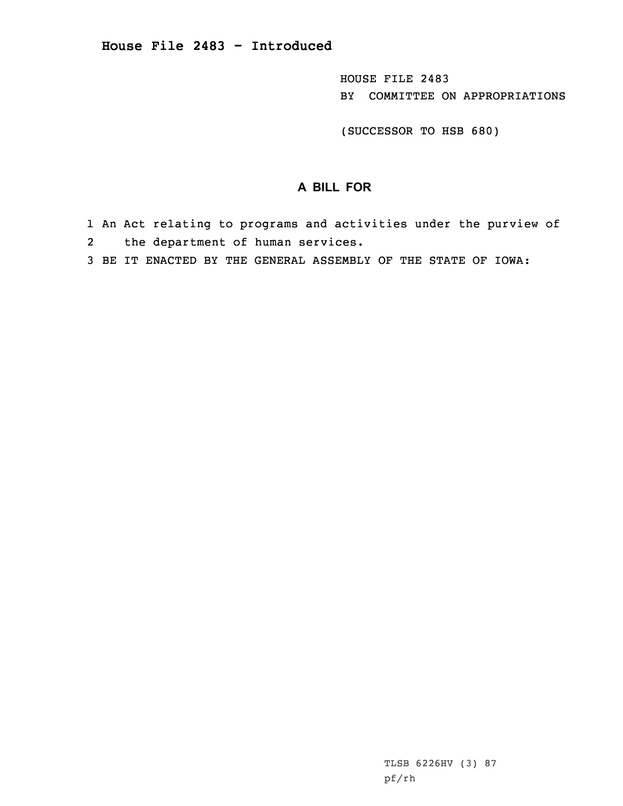HOUSE FILE 2483 BY COMMITTEE ON APPROPRIATIONS

(SUCCESSOR TO HSB 680)

## **A BILL FOR**

- 1 An Act relating to programs and activities under the purview of 2the department of human services.
- 3 BE IT ENACTED BY THE GENERAL ASSEMBLY OF THE STATE OF IOWA: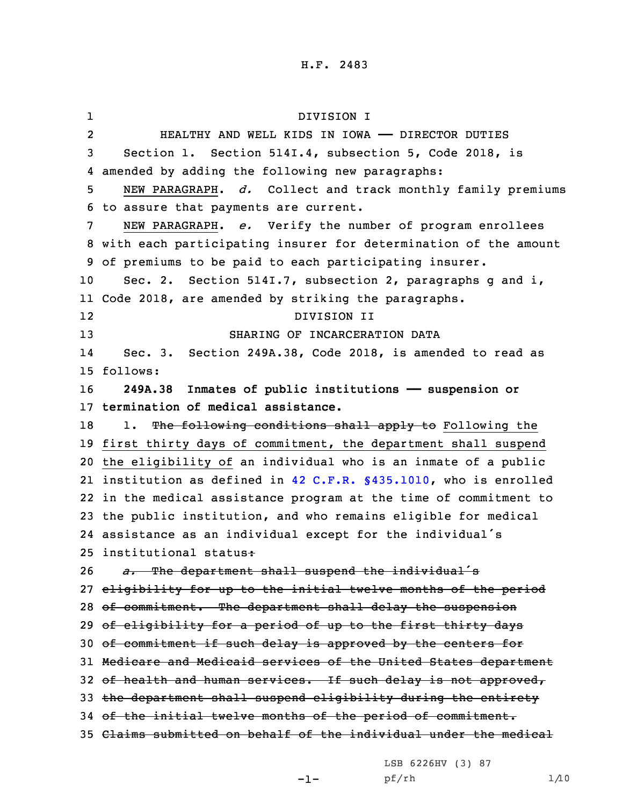1 DIVISION I 2 HEALTHY AND WELL KIDS IN IOWA —— DIRECTOR DUTIES 3 Section 1. Section 514I.4, subsection 5, Code 2018, is 4 amended by adding the following new paragraphs: 5 NEW PARAGRAPH. *d.* Collect and track monthly family premiums 6 to assure that payments are current. 7 NEW PARAGRAPH. *e.* Verify the number of program enrollees 8 with each participating insurer for determination of the amount 9 of premiums to be paid to each participating insurer. 10 Sec. 2. Section 514I.7, subsection 2, paragraphs g and i, 11 Code 2018, are amended by striking the paragraphs. 12 DIVISION II 13 SHARING OF INCARCERATION DATA 14 Sec. 3. Section 249A.38, Code 2018, is amended to read as 15 follows: 16 **249A.38 Inmates of public institutions —— suspension or** 17 **termination of medical assistance.** 18 1. The following conditions shall apply to Following the 19 first thirty days of commitment, the department shall suspend 20 the eligibility of an individual who is an inmate of <sup>a</sup> public 21 institution as defined in 42 C.F.R. §435.1010, who is enrolled 22 in the medical assistance program at the time of commitment to 23 the public institution, and who remains eligible for medical 24 assistance as an individual except for the individual's 25 institutional status: <sup>26</sup> *a.* The department shall suspend the individual's 27 eligibility for up to the initial twelve months of the period 28 of commitment. The department shall delay the suspension 29 of eligibility for a period of up to the first thirty days 30 of commitment if such delay is approved by the centers for 31 Medicare and Medicaid services of the United States department 32 of health and human services. If such delay is not approved, 33 the department shall suspend eligibility during the entirety 34 of the initial twelve months of the period of commitment. 35 Claims submitted on behalf of the individual under the medical

LSB 6226HV (3) 87

-1-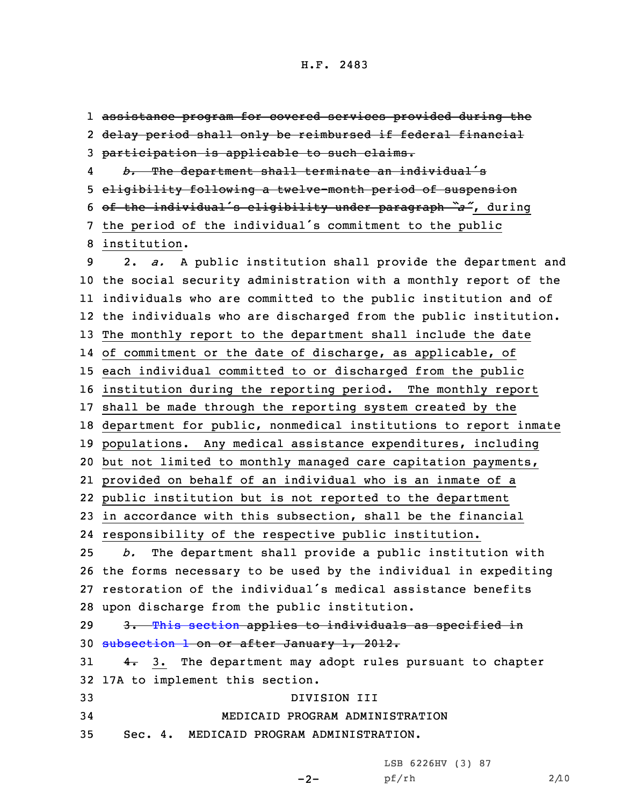assistance program for covered services provided during the delay period shall only be reimbursed if federal financial participation is applicable to such claims. 4 *b.* The department shall terminate an individual's eligibility following <sup>a</sup> twelve-month period of suspension of the individual's eligibility under paragraph *"a"*, during the period of the individual's commitment to the public institution. 2. *a.* <sup>A</sup> public institution shall provide the department and the social security administration with <sup>a</sup> monthly report of the individuals who are committed to the public institution and of the individuals who are discharged from the public institution. The monthly report to the department shall include the date of commitment or the date of discharge, as applicable, of each individual committed to or discharged from the public institution during the reporting period. The monthly report shall be made through the reporting system created by the department for public, nonmedical institutions to report inmate populations. Any medical assistance expenditures, including but not limited to monthly managed care capitation payments, provided on behalf of an individual who is an inmate of <sup>a</sup> public institution but is not reported to the department in accordance with this subsection, shall be the financial responsibility of the respective public institution. *b.* The department shall provide <sup>a</sup> public institution with the forms necessary to be used by the individual in expediting restoration of the individual's medical assistance benefits upon discharge from the public institution. 29 3. This [section](https://www.legis.iowa.gov/docs/code/2018/249A.38.pdf) applies to individuals as specified in [subsection](https://www.legis.iowa.gov/docs/code/2018/249A.38.pdf) 1 on or after January 1, 2012.  $4.$  3. The department may adopt rules pursuant to chapter 17A to implement this section. DIVISION III MEDICAID PROGRAM ADMINISTRATION Sec. 4. MEDICAID PROGRAM ADMINISTRATION.

LSB 6226HV (3) 87

pf/rh 2/10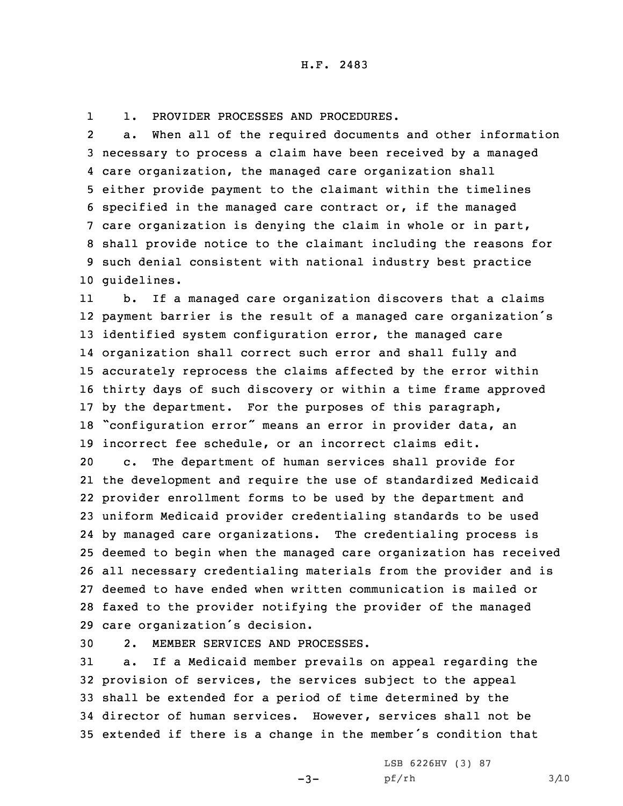11. PROVIDER PROCESSES AND PROCEDURES.

2 a. When all of the required documents and other information necessary to process <sup>a</sup> claim have been received by <sup>a</sup> managed care organization, the managed care organization shall either provide payment to the claimant within the timelines specified in the managed care contract or, if the managed care organization is denying the claim in whole or in part, shall provide notice to the claimant including the reasons for such denial consistent with national industry best practice guidelines.

11 b. If <sup>a</sup> managed care organization discovers that <sup>a</sup> claims payment barrier is the result of <sup>a</sup> managed care organization's identified system configuration error, the managed care organization shall correct such error and shall fully and accurately reprocess the claims affected by the error within thirty days of such discovery or within <sup>a</sup> time frame approved by the department. For the purposes of this paragraph, "configuration error" means an error in provider data, an incorrect fee schedule, or an incorrect claims edit.

 c. The department of human services shall provide for the development and require the use of standardized Medicaid provider enrollment forms to be used by the department and uniform Medicaid provider credentialing standards to be used by managed care organizations. The credentialing process is deemed to begin when the managed care organization has received all necessary credentialing materials from the provider and is deemed to have ended when written communication is mailed or faxed to the provider notifying the provider of the managed care organization's decision.

30 2. MEMBER SERVICES AND PROCESSES.

 a. If <sup>a</sup> Medicaid member prevails on appeal regarding the provision of services, the services subject to the appeal shall be extended for <sup>a</sup> period of time determined by the director of human services. However, services shall not be extended if there is <sup>a</sup> change in the member's condition that

 $-3-$ 

LSB 6226HV (3) 87 pf/rh 3/10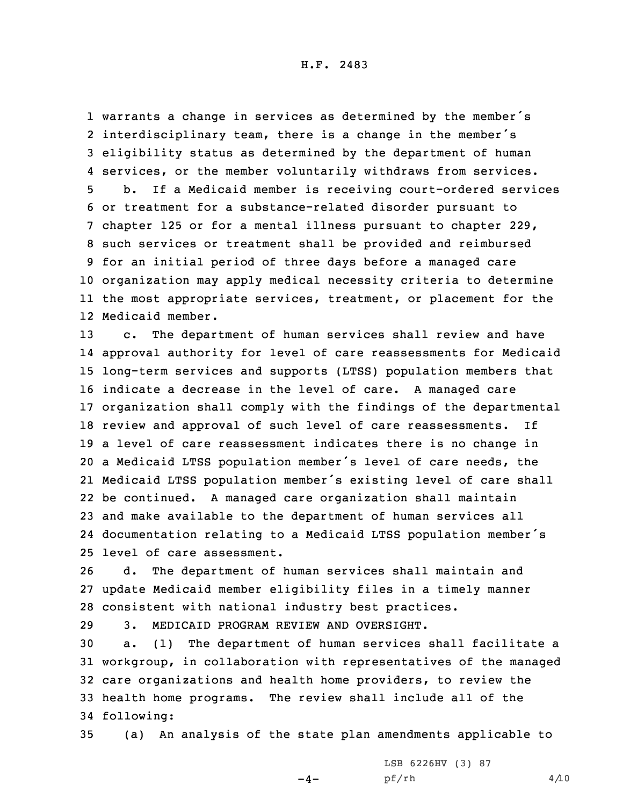warrants <sup>a</sup> change in services as determined by the member's interdisciplinary team, there is <sup>a</sup> change in the member's eligibility status as determined by the department of human services, or the member voluntarily withdraws from services. b. If <sup>a</sup> Medicaid member is receiving court-ordered services or treatment for <sup>a</sup> substance-related disorder pursuant to chapter 125 or for <sup>a</sup> mental illness pursuant to chapter 229, such services or treatment shall be provided and reimbursed for an initial period of three days before <sup>a</sup> managed care organization may apply medical necessity criteria to determine the most appropriate services, treatment, or placement for the Medicaid member.

 c. The department of human services shall review and have approval authority for level of care reassessments for Medicaid long-term services and supports (LTSS) population members that indicate <sup>a</sup> decrease in the level of care. <sup>A</sup> managed care organization shall comply with the findings of the departmental review and approval of such level of care reassessments. If <sup>a</sup> level of care reassessment indicates there is no change in <sup>a</sup> Medicaid LTSS population member's level of care needs, the Medicaid LTSS population member's existing level of care shall be continued. <sup>A</sup> managed care organization shall maintain and make available to the department of human services all documentation relating to <sup>a</sup> Medicaid LTSS population member's level of care assessment.

26 d. The department of human services shall maintain and 27 update Medicaid member eligibility files in <sup>a</sup> timely manner 28 consistent with national industry best practices.

29 3. MEDICAID PROGRAM REVIEW AND OVERSIGHT.

 a. (1) The department of human services shall facilitate <sup>a</sup> workgroup, in collaboration with representatives of the managed care organizations and health home providers, to review the health home programs. The review shall include all of the following:

35 (a) An analysis of the state plan amendments applicable to

 $-4-$ 

LSB 6226HV (3) 87 pf/rh 4/10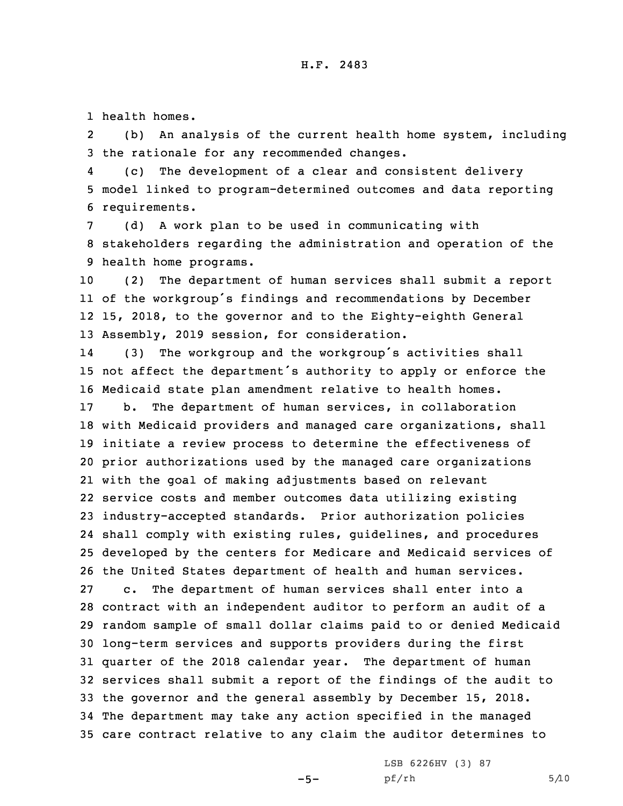1 health homes.

2 (b) An analysis of the current health home system, including 3 the rationale for any recommended changes.

4 (c) The development of <sup>a</sup> clear and consistent delivery 5 model linked to program-determined outcomes and data reporting 6 requirements.

7 (d) <sup>A</sup> work plan to be used in communicating with 8 stakeholders regarding the administration and operation of the 9 health home programs.

 (2) The department of human services shall submit <sup>a</sup> report of the workgroup's findings and recommendations by December 15, 2018, to the governor and to the Eighty-eighth General Assembly, 2019 session, for consideration.

14 (3) The workgroup and the workgroup's activities shall <sup>15</sup> not affect the department's authority to apply or enforce the 16 Medicaid state plan amendment relative to health homes.

 b. The department of human services, in collaboration with Medicaid providers and managed care organizations, shall initiate <sup>a</sup> review process to determine the effectiveness of prior authorizations used by the managed care organizations with the goal of making adjustments based on relevant service costs and member outcomes data utilizing existing industry-accepted standards. Prior authorization policies shall comply with existing rules, guidelines, and procedures developed by the centers for Medicare and Medicaid services of the United States department of health and human services. c. The department of human services shall enter into <sup>a</sup> contract with an independent auditor to perform an audit of <sup>a</sup> random sample of small dollar claims paid to or denied Medicaid long-term services and supports providers during the first quarter of the 2018 calendar year. The department of human services shall submit <sup>a</sup> report of the findings of the audit to the governor and the general assembly by December 15, 2018. The department may take any action specified in the managed care contract relative to any claim the auditor determines to

 $-5-$ 

LSB 6226HV (3) 87  $pf/rh$  5/10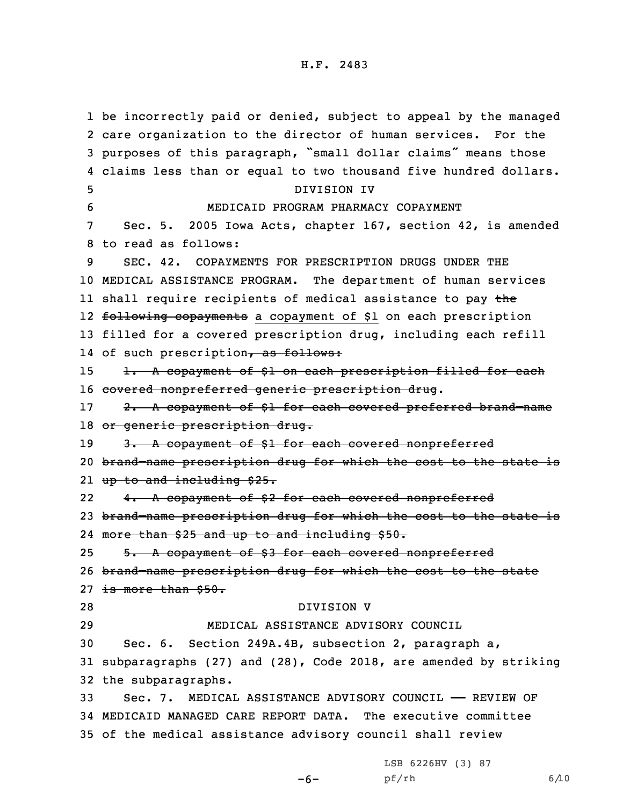be incorrectly paid or denied, subject to appeal by the managed care organization to the director of human services. For the purposes of this paragraph, "small dollar claims" means those claims less than or equal to two thousand five hundred dollars. DIVISION IV MEDICAID PROGRAM PHARMACY COPAYMENT Sec. 5. 2005 Iowa Acts, chapter 167, section 42, is amended to read as follows: SEC. 42. COPAYMENTS FOR PRESCRIPTION DRUGS UNDER THE MEDICAL ASSISTANCE PROGRAM. The department of human services ll shall require recipients of medical assistance to pay <del>th</del>e 12 <del>following copayments</del> a copayment of \$1 on each prescription filled for <sup>a</sup> covered prescription drug, including each refill 14 of such prescription<del>, as follows:</del> 15 1. A copayment of \$1 on each prescription filled for each covered nonpreferred generic prescription drug. 17 2. A copayment of \$1 for each covered preferred brand-name 18 or generic prescription drug. 19 3. A copayment of \$1 for each covered nonpreferred brand–name prescription drug for which the cost to the state is 21 <del>up to and including \$25.</del> 22 4. <sup>A</sup> copayment of \$2 for each covered nonpreferred brand–name prescription drug for which the cost to the state is more than \$25 and up to and including \$50. 25 5. A copayment of \$3 for each covered nonpreferred brand–name prescription drug for which the cost to the state 27 is more than \$50. DIVISION V MEDICAL ASSISTANCE ADVISORY COUNCIL Sec. 6. Section 249A.4B, subsection 2, paragraph a, subparagraphs (27) and (28), Code 2018, are amended by striking the subparagraphs. Sec. 7. MEDICAL ASSISTANCE ADVISORY COUNCIL —— REVIEW OF MEDICAID MANAGED CARE REPORT DATA. The executive committee of the medical assistance advisory council shall review

LSB 6226HV (3) 87

-6-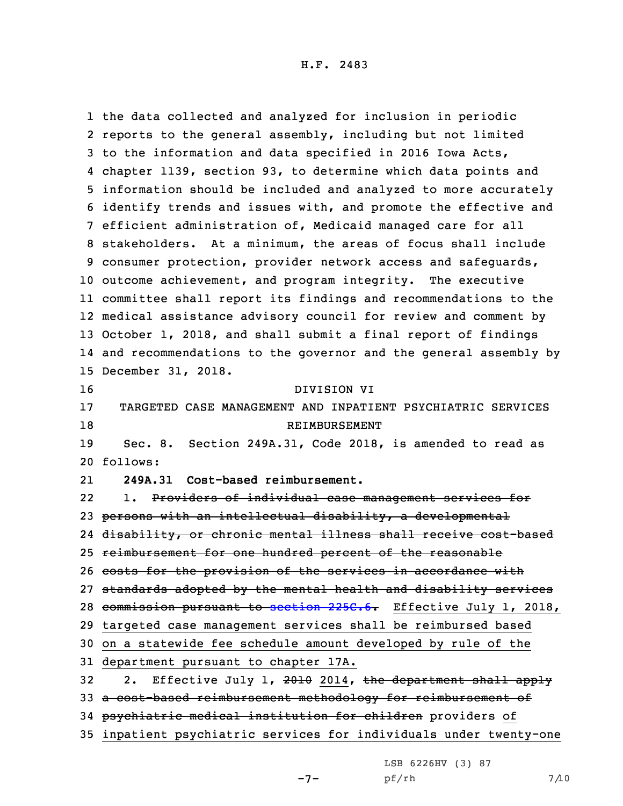H.F. 2483

 the data collected and analyzed for inclusion in periodic reports to the general assembly, including but not limited to the information and data specified in 2016 Iowa Acts, chapter 1139, section 93, to determine which data points and information should be included and analyzed to more accurately identify trends and issues with, and promote the effective and efficient administration of, Medicaid managed care for all stakeholders. At <sup>a</sup> minimum, the areas of focus shall include consumer protection, provider network access and safeguards, outcome achievement, and program integrity. The executive committee shall report its findings and recommendations to the medical assistance advisory council for review and comment by October 1, 2018, and shall submit <sup>a</sup> final report of findings and recommendations to the governor and the general assembly by December 31, 2018. DIVISION VI TARGETED CASE MANAGEMENT AND INPATIENT PSYCHIATRIC SERVICES 18 RETMBURSEMENT Sec. 8. Section 249A.31, Code 2018, is amended to read as 20 follows: 21 **249A.31 Cost-based reimbursement.** 22 1. Providers of individual case management services for persons with an intellectual disability, <sup>a</sup> developmental disability, or chronic mental illness shall receive cost-based reimbursement for one hundred percent of the reasonable 26 costs for the provision of the services in accordance with standards adopted by the mental health and disability services 28 commission pursuant to [section](https://www.legis.iowa.gov/docs/code/2018/225C.6.pdf) 225C.6. Effective July 1, 2018, targeted case management services shall be reimbursed based on <sup>a</sup> statewide fee schedule amount developed by rule of the department pursuant to chapter 17A. 32 2. Effective July 1, 2010 2014, the department shall apply <sup>a</sup> cost-based reimbursement methodology for reimbursement of 34 psychiatric medical institution for children providers of inpatient psychiatric services for individuals under twenty-one

LSB 6226HV (3) 87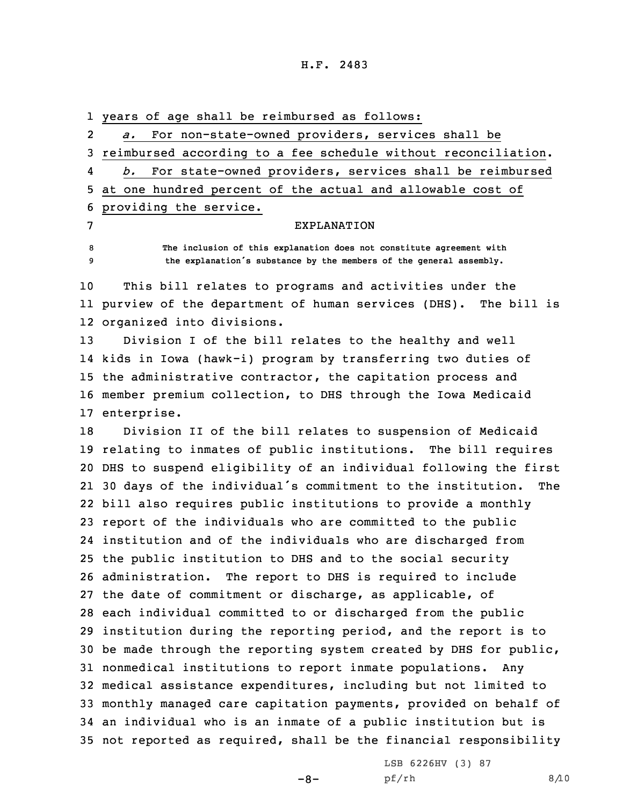## H.F. 2483

1 years of age shall be reimbursed as follows: 2 *a.* For non-state-owned providers, services shall be 3 reimbursed according to <sup>a</sup> fee schedule without reconciliation. 4 *b.* For state-owned providers, services shall be reimbursed 5 at one hundred percent of the actual and allowable cost of 6 providing the service. 7 EXPLANATION 8 **The inclusion of this explanation does not constitute agreement with**

10 This bill relates to programs and activities under the 11 purview of the department of human services (DHS). The bill is 12 organized into divisions.

<sup>9</sup> **the explanation's substance by the members of the general assembly.**

 Division <sup>I</sup> of the bill relates to the healthy and well kids in Iowa (hawk-i) program by transferring two duties of the administrative contractor, the capitation process and member premium collection, to DHS through the Iowa Medicaid enterprise.

 Division II of the bill relates to suspension of Medicaid relating to inmates of public institutions. The bill requires DHS to suspend eligibility of an individual following the first <sup>30</sup> days of the individual's commitment to the institution. The bill also requires public institutions to provide <sup>a</sup> monthly report of the individuals who are committed to the public institution and of the individuals who are discharged from the public institution to DHS and to the social security administration. The report to DHS is required to include the date of commitment or discharge, as applicable, of each individual committed to or discharged from the public institution during the reporting period, and the report is to be made through the reporting system created by DHS for public, nonmedical institutions to report inmate populations. Any medical assistance expenditures, including but not limited to monthly managed care capitation payments, provided on behalf of an individual who is an inmate of <sup>a</sup> public institution but is not reported as required, shall be the financial responsibility

 $-8-$ 

LSB 6226HV (3) 87 pf/rh 8/10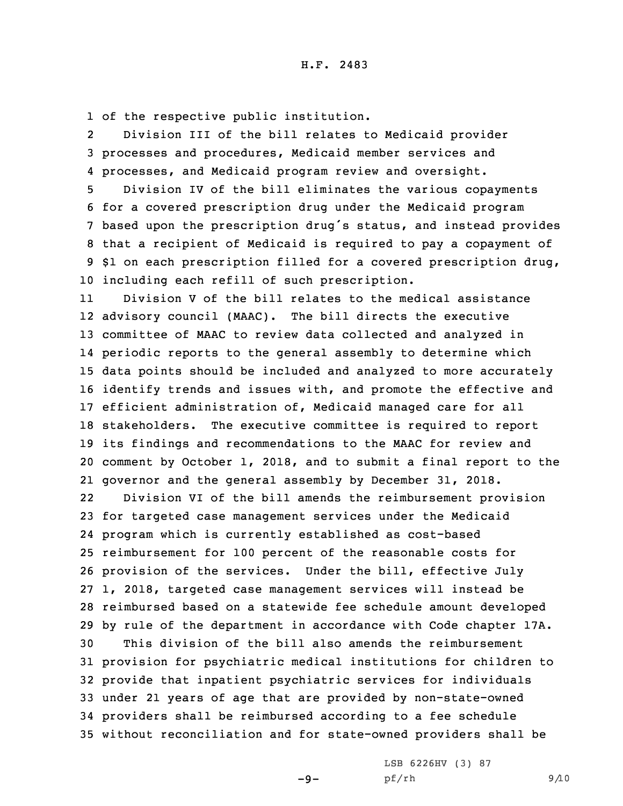1 of the respective public institution.

2 Division III of the bill relates to Medicaid provider 3 processes and procedures, Medicaid member services and 4 processes, and Medicaid program review and oversight.

 Division IV of the bill eliminates the various copayments for <sup>a</sup> covered prescription drug under the Medicaid program based upon the prescription drug's status, and instead provides that <sup>a</sup> recipient of Medicaid is required to pay <sup>a</sup> copayment of \$1 on each prescription filled for <sup>a</sup> covered prescription drug, including each refill of such prescription.

11 Division V of the bill relates to the medical assistance advisory council (MAAC). The bill directs the executive committee of MAAC to review data collected and analyzed in periodic reports to the general assembly to determine which data points should be included and analyzed to more accurately identify trends and issues with, and promote the effective and efficient administration of, Medicaid managed care for all stakeholders. The executive committee is required to report its findings and recommendations to the MAAC for review and comment by October 1, 2018, and to submit <sup>a</sup> final report to the governor and the general assembly by December 31, 2018.

22 Division VI of the bill amends the reimbursement provision for targeted case management services under the Medicaid program which is currently established as cost-based reimbursement for 100 percent of the reasonable costs for provision of the services. Under the bill, effective July 1, 2018, targeted case management services will instead be reimbursed based on <sup>a</sup> statewide fee schedule amount developed by rule of the department in accordance with Code chapter 17A. This division of the bill also amends the reimbursement provision for psychiatric medical institutions for children to provide that inpatient psychiatric services for individuals under 21 years of age that are provided by non-state-owned providers shall be reimbursed according to <sup>a</sup> fee schedule without reconciliation and for state-owned providers shall be

 $-9-$ 

LSB 6226HV (3) 87 pf/rh 9/10